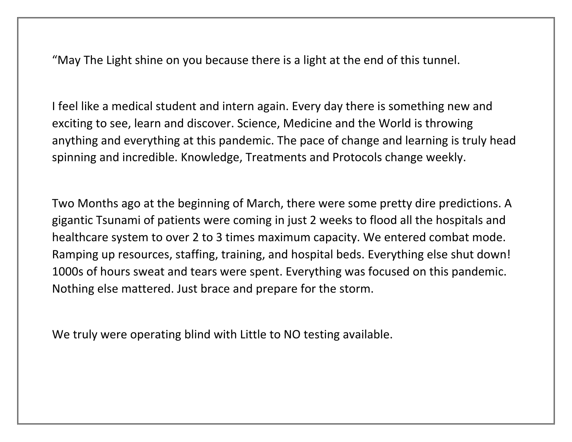"May The Light shine on you because there is a light at the end of this tunnel.

I feel like a medical student and intern again. Every day there is something new and exciting to see, learn and discover. Science, Medicine and the World is throwing anything and everything at this pandemic. The pace of change and learning is truly head spinning and incredible. Knowledge, Treatments and Protocols change weekly.

Two Months ago at the beginning of March, there were some pretty dire predictions. A gigantic Tsunami of patients were coming in just 2 weeks to flood all the hospitals and healthcare system to over 2 to 3 times maximum capacity. We entered combat mode. Ramping up resources, staffing, training, and hospital beds. Everything else shut down! 1000s of hours sweat and tears were spent. Everything was focused on this pandemic. Nothing else mattered. Just brace and prepare for the storm.

We truly were operating blind with Little to NO testing available.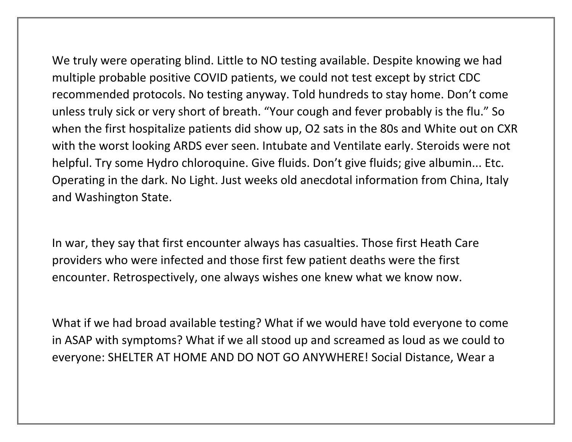We truly were operating blind. Little to NO testing available. Despite knowing we had multiple probable positive COVID patients, we could not test except by strict CDC recommended protocols. No testing anyway. Told hundreds to stay home. Don't come unless truly sick or very short of breath. "Your cough and fever probably is the flu." So when the first hospitalize patients did show up, O2 sats in the 80s and White out on CXR with the worst looking ARDS ever seen. Intubate and Ventilate early. Steroids were not helpful. Try some Hydro chloroquine. Give fluids. Don't give fluids; give albumin... Etc. Operating in the dark. No Light. Just weeks old anecdotal information from China, Italy and Washington State.

In war, they say that first encounter always has casualties. Those first Heath Care providers who were infected and those first few patient deaths were the first encounter. Retrospectively, one always wishes one knew what we know now.

What if we had broad available testing? What if we would have told everyone to come in ASAP with symptoms? What if we all stood up and screamed as loud as we could to everyone: SHELTER AT HOME AND DO NOT GO ANYWHERE! Social Distance, Wear a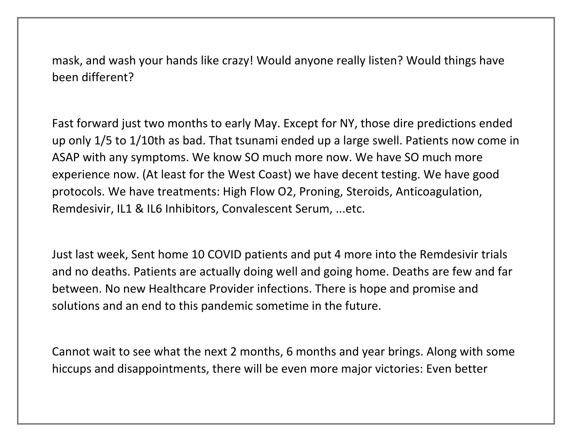mask, and wash your hands like crazy! Would anyone really listen? Would things have been different?

Fast forward just two months to early May. Except for NY, those dire predictions ended up only 1/5 to 1/10th as bad. That tsunami ended up a large swell. Patients now come in ASAP with any symptoms. We know SO much more now. We have SO much more experience now. (At least for the West Coast) we have decent testing. We have good protocols. We have treatments: High Flow O2, Proning, Steroids, Anticoagulation, Remdesivir, IL1 & IL6 Inhibitors, Convalescent Serum, ...etc.

Just last week, Sent home 10 COVID patients and put 4 more into the Remdesivir trials and no deaths. Patients are actually doing well and going home. Deaths are few and far between. No new Healthcare Provider infections. There is hope and promise and solutions and an end to this pandemic sometime in the future.

Cannot wait to see what the next 2 months, 6 months and year brings. Along with some hiccups and disappointments, there will be even more major victories: Even better